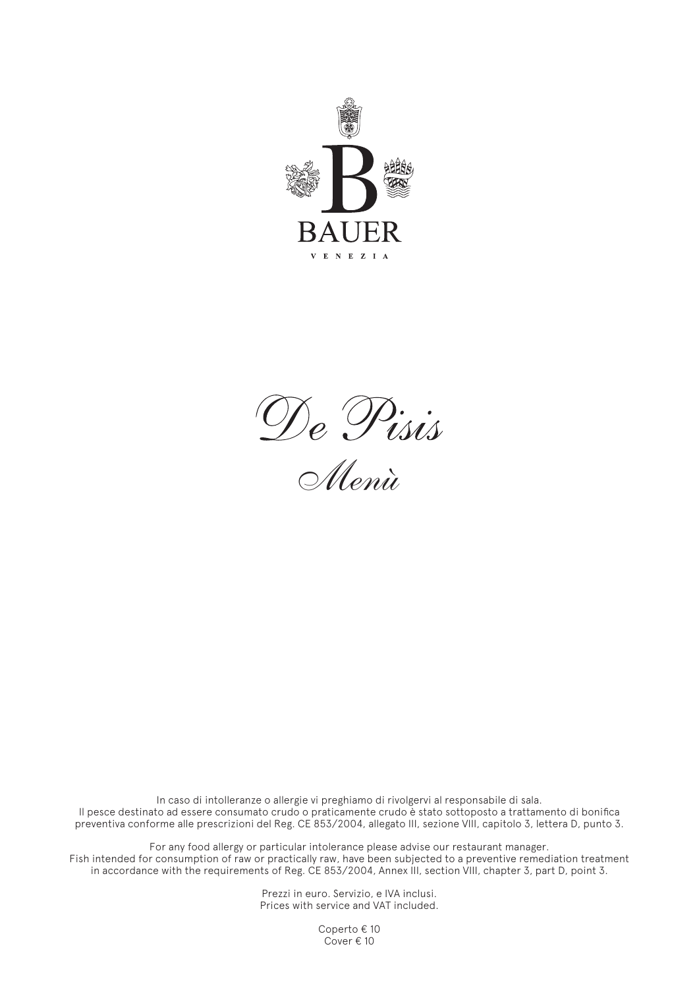



In caso di intolleranze o allergie vi preghiamo di rivolgervi al responsabile di sala. Il pesce destinato ad essere consumato crudo o praticamente crudo è stato sottoposto a trattamento di bonifica preventiva conforme alle prescrizioni del Reg. CE 853/2004, allegato III, sezione VIII, capitolo 3, lettera D, punto 3.

For any food allergy or particular intolerance please advise our restaurant manager. Fish intended for consumption of raw or practically raw, have been subjected to a preventive remediation treatment in accordance with the requirements of Reg. CE 853/2004, Annex III, section VIII, chapter 3, part D, point 3.

> Prezzi in euro. Servizio, e IVA inclusi. Prices with service and VAT included.

> > Coperto € 10 Cover € 10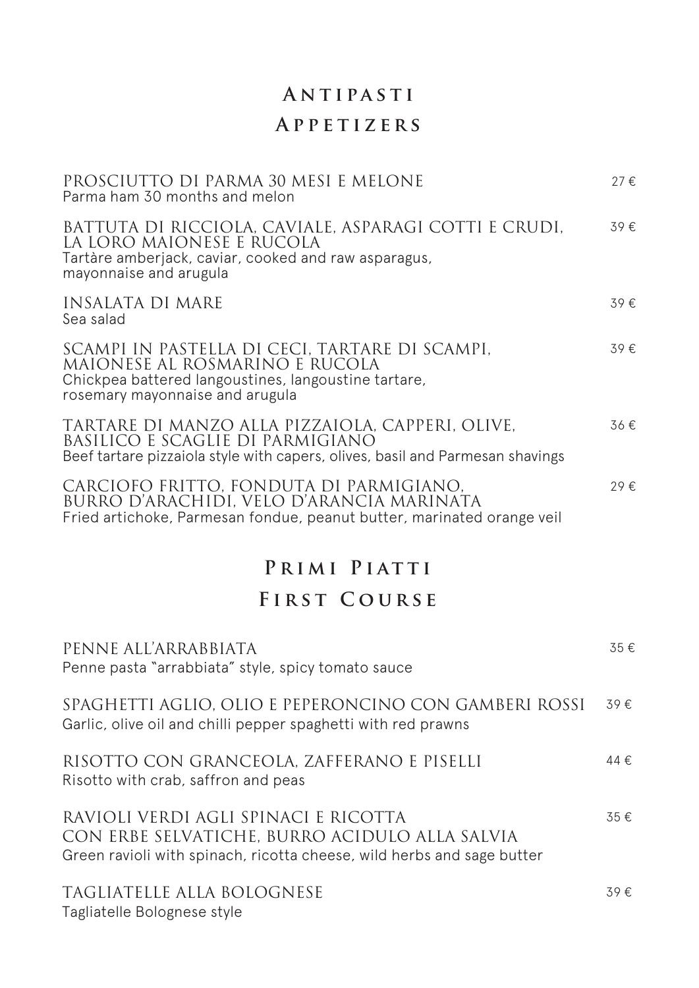# **Antipasti Appetizers**

| PROSCIUTTO DI PARMA 30 MESI E MELONE<br>Parma ham 30 months and melon                                                                                                       | 27€ |
|-----------------------------------------------------------------------------------------------------------------------------------------------------------------------------|-----|
| BATTUTA DI RICCIOLA, CAVIALE, ASPARAGI COTTI E CRUDI,<br>LA LORO MAIONESE E RUCOLA<br>Tartàre amberjack, caviar, cooked and raw asparagus,<br>mayonnaise and arugula        | 39€ |
| <b>INSALATA DI MARE</b><br>Sea salad                                                                                                                                        | 39€ |
| SCAMPI IN PASTELLA DI CECI, TARTARE DI SCAMPI,<br>MAIONESE AL ROSMARINO E RUCOLA<br>Chickpea battered langoustines, langoustine tartare,<br>rosemary mayonnaise and arugula | 39€ |
| TARTARE DI MANZO ALLA PIZZAIOLA, CAPPERI, OLIVE,<br>BASILICO E SCAGLIE DI PARMIGIANO<br>Beef tartare pizzaiola style with capers, olives, basil and Parmesan shavings       | 36€ |
| CARCIOFO FRITTO, FONDUTA DI PARMIGIANO,<br>BURRO D'ARACHIDI, VELO D'ARANCIA MARINATA<br>Fried artichoke, Parmesan fondue, peanut butter, marinated orange veil              | 29€ |
| PRIMI PIATTI                                                                                                                                                                |     |
| <b>FIRST COURSE</b>                                                                                                                                                         |     |
| PENNE ALL'ARRABBIATA<br>Penne pasta "arrabbiata" style, spicy tomato sauce                                                                                                  | 35€ |
| SPAGHETTI AGLIO, OLIO E PEPERONCINO CON GAMBERI ROSSI<br>Garlic, olive oil and chilli pepper spaghetti with red prawns                                                      | 39€ |
| RISOTTO CON GRANCEOLA, ZAFFERANO E PISELLI<br>Risotto with crab, saffron and peas                                                                                           | 44€ |
| RAVIOLI VERDI AGLI SPINACI E RICOTTA<br>CON ERBE SELVATICHE, BURRO ACIDULO ALLA SALVIA<br>Green ravioli with spinach, ricotta cheese, wild herbs and sage butter            | 35€ |
| TAGLIATELLE ALLA BOLOGNESE<br>Tagliatelle Bolognese style                                                                                                                   | 39€ |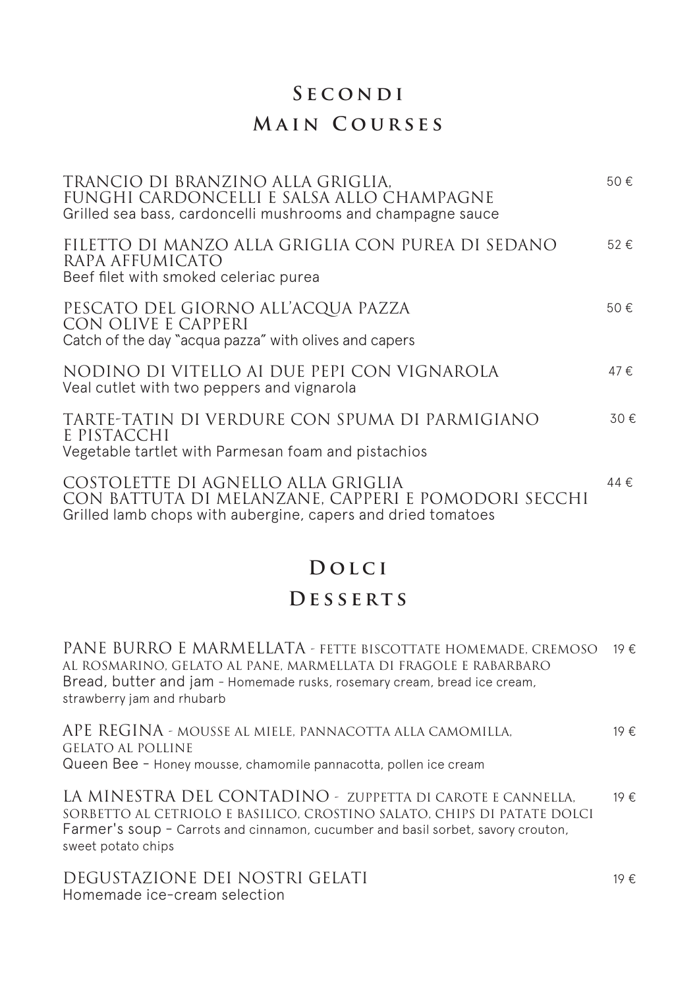#### **Secondi**

### **Main Courses**

| TRANCIO DI BRANZINO ALLA GRIGLIA.<br>FUNGHI CARDONCELLI E SALSA ALLO CHAMPAGNE<br>Grilled sea bass, cardoncelli mushrooms and champagne sauce             | 50€ |
|-----------------------------------------------------------------------------------------------------------------------------------------------------------|-----|
| FILETTO DI MANZO ALLA GRIGLIA CON PUREA DI SEDANO<br>RAPA AFFUMICATO<br>Beef filet with smoked celeriac purea                                             | 52€ |
| PESCATO DEL GIORNO ALL'ACQUA PAZZA<br>CON OLIVE E CAPPERI<br>Catch of the day "acqua pazza" with olives and capers                                        | 50€ |
| NODINO DI VITELLO AI DUE PEPI CON VIGNAROLA<br>Veal cutlet with two peppers and vignarola                                                                 | 47€ |
| TARTE-TATIN DI VERDURE CON SPUMA DI PARMIGIANO<br>E PISTACCHI<br>Vegetable tartlet with Parmesan foam and pistachios                                      | 30€ |
| COSTOLETTE DI AGNELLO ALLA GRIGLIA<br>CON BATTUTA DI MELANZANE, CAPPERI E POMODORI SECCHI<br>Grilled lamb chops with aubergine, capers and dried tomatoes | 44€ |

## **Dolci**

### **Desserts**

PANE BURRO E MARMELLATA - FETTE BISCOTTATE HOMEMADE, CREMOSO 19 € AL ROSMARINO, GELATO AL PANE, MARMELLATA DI FRAGOLE E RABARBARO Bread, butter and jam - Homemade rusks, rosemary cream, bread ice cream, strawberry jam and rhubarb

APE REGINA - MOUSSE AL MIELE, PANNACOTTA ALLA CAMOMILLA, GELATO AL POLLINE Queen Bee - Honey mousse, chamomile pannacotta, pollen ice cream 19 €

LA MINESTRA DEL CONTADINO - ZUPPETTA DI CAROTE E CANNELLA, SORBETTO AL CETRIOLO E BASILICO, CROSTINO SALATO, CHIPS DI PATATE DOLCI Farmer's soup - Carrots and cinnamon, cucumber and basil sorbet, savory crouton, sweet potato chips 19 €

DEGUSTAZIONE DEI NOSTRI GELATI Homemade ice-cream selection